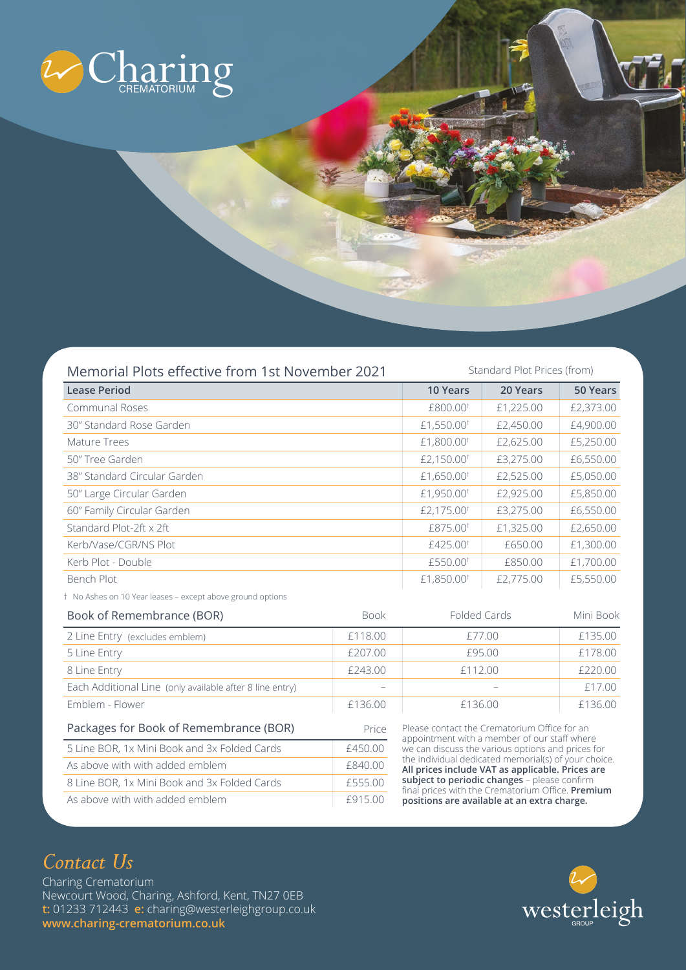

Memorial Plots effective from 1st November 2021

Standard Plot Prices (from)

| <b>Lease Period</b>          | <b>10 Years</b>        | 20 Years  | 50 Years  |
|------------------------------|------------------------|-----------|-----------|
| Communal Roses               | £800.00 <sup>†</sup>   | £1,225.00 | £2,373.00 |
| 30" Standard Rose Garden     | £1,550.00 <sup>t</sup> | £2,450.00 | £4,900.00 |
| Mature Trees                 | £1,800.00 <sup>t</sup> | £2,625.00 | £5,250.00 |
| 50" Tree Garden              | £2,150.00 <sup>t</sup> | £3,275.00 | £6,550.00 |
| 38" Standard Circular Garden | £1,650.00 <sup>t</sup> | £2,525.00 | £5,050.00 |
| 50" Large Circular Garden    | £1,950.00 <sup>t</sup> | £2,925.00 | £5,850.00 |
| 60" Family Circular Garden   | £2,175.00 <sup>t</sup> | £3,275.00 | £6,550.00 |
| Standard Plot-2ft x 2ft      | £875.00 <sup>†</sup>   | £1,325.00 | £2,650.00 |
| Kerb/Vase/CGR/NS Plot        | $£425.00$ <sup>†</sup> | £650.00   | £1,300.00 |
| Kerb Plot - Double           | £550.00 <sup>t</sup>   | £850.00   | £1,700.00 |
| Bench Plot                   | £1,850.00 <sup>t</sup> | £2,775.00 | £5,550.00 |

† No Ashes on 10 Year leases – except above ground options

| Book of Remembrance (BOR)                                | <b>Book</b> | <b>Folded Cards</b>                                                                                                                                                                                                                                                      | Mini Book |
|----------------------------------------------------------|-------------|--------------------------------------------------------------------------------------------------------------------------------------------------------------------------------------------------------------------------------------------------------------------------|-----------|
| 2 Line Entry (excludes emblem)                           | £118.00     | £77.00                                                                                                                                                                                                                                                                   | £135.00   |
| 5 Line Entry                                             | £207.00     | £95.00                                                                                                                                                                                                                                                                   | £178.00   |
| 8 Line Entry                                             | £243.00     | £112.00                                                                                                                                                                                                                                                                  | £220.00   |
| Each Additional Line (only available after 8 line entry) |             |                                                                                                                                                                                                                                                                          | £17.00    |
| Emblem - Flower                                          | £136.00     | £136.00                                                                                                                                                                                                                                                                  | £136.00   |
| Packages for Book of Remembrance (BOR)<br>Price          |             | Please contact the Crematorium Office for an<br>appointment with a member of our staff where                                                                                                                                                                             |           |
| 5 Line BOR, 1x Mini Book and 3x Folded Cards             | £450.00     | we can discuss the various options and prices for<br>the individual dedicated memorial(s) of your choice.<br>All prices include VAT as applicable. Prices are<br>subject to periodic changes - please confirm<br>final prices with the Crematerium Office <b>Dramium</b> |           |
| As above with with added emblem                          | £840.00     |                                                                                                                                                                                                                                                                          |           |
| 8 Line BOR, 1x Mini Book and 3x Folded Cards             | £555.00     |                                                                                                                                                                                                                                                                          |           |

## *Contact Us*

Charing Crematorium Newcourt Wood, Charing, Ashford, Kent, TN27 0EB **t:** 01233 712443 **e:** charing@westerleighgroup.co.uk **www.charing-crematorium.co.uk** 

As above with with added emblem **E915.00** 



final prices with the Crematorium Office. **Premium positions are available at an extra charge.**